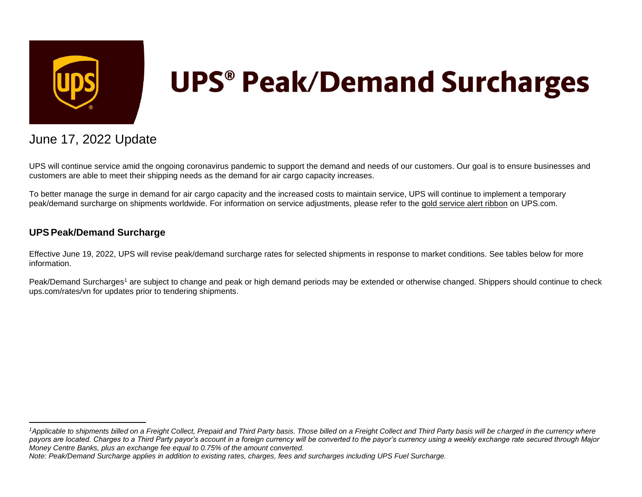

# **UPS<sup>®</sup> Peak/Demand Surcharges**

## June 17, 2022 Update

UPS will continue service amid the ongoing coronavirus pandemic to support the demand and needs of our customers. Our goal is to ensure businesses and customers are able to meet their shipping needs as the demand for air cargo capacity increases.

To better manage the surge in demand for air cargo capacity and the increased costs to maintain service, UPS will continue to implement a temporary peak/demand surcharge on shipments worldwide. For information on service adjustments, please refer to the [gold service alert ribbon](https://www.ups.com/vn/en/service-alerts.page?id=alert1) on UPS.com.

### **UPSPeak/Demand Surcharge**

Effective June 19, 2022, UPS will revise peak/demand surcharge rates for selected shipments in response to market conditions. See tables below for more information.

Peak/Demand Surcharges<sup>1</sup> are subject to change and peak or high demand periods may be extended or otherwise changed. Shippers should continue to check ups.com/rates/vn for updates prior to tendering shipments.

<sup>&</sup>lt;sup>1</sup>Applicable to shipments billed on a Freight Collect, Prepaid and Third Party basis. Those billed on a Freight Collect and Third Party basis will be charged in the currency where *payors are located. Charges to a Third Party payor's account in a foreign currency will be converted to the payor's currency using a weekly exchange rate secured through Major Money Centre Banks, plus an exchange fee equal to 0.75% of the amount converted.*

*Note: Peak/Demand Surcharge applies in addition to existing rates, charges, fees and surcharges including UPS Fuel Surcharge.*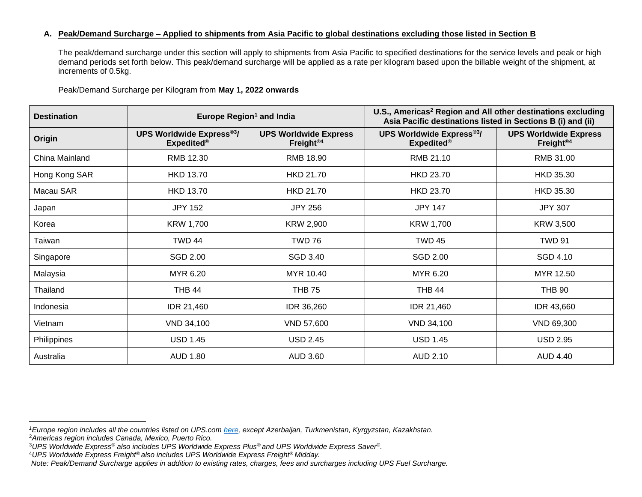#### **A. Peak/Demand Surcharge – Applied to shipments from Asia Pacific to global destinations excluding those listed in Section B**

The peak/demand surcharge under this section will apply to shipments from Asia Pacific to specified destinations for the service levels and peak or high demand periods set forth below. This peak/demand surcharge will be applied as a rate per kilogram based upon the billable weight of the shipment, at increments of 0.5kg.

Peak/Demand Surcharge per Kilogram from **May 1, 2022 onwards**

| <b>Destination</b> | Europe Region <sup>1</sup> and India                 |                                                       | U.S., Americas <sup>2</sup> Region and All other destinations excluding<br>Asia Pacific destinations listed in Sections B (i) and (ii) |                                                       |  |
|--------------------|------------------------------------------------------|-------------------------------------------------------|----------------------------------------------------------------------------------------------------------------------------------------|-------------------------------------------------------|--|
| Origin             | <b>UPS Worldwide Express®3/</b><br><b>Expedited®</b> | <b>UPS Worldwide Express</b><br>Freight <sup>®4</sup> | <b>UPS Worldwide Express®3/</b><br><b>Expedited®</b>                                                                                   | <b>UPS Worldwide Express</b><br>Freight <sup>®4</sup> |  |
| China Mainland     | RMB 12.30                                            | RMB 18.90                                             | RMB 21.10                                                                                                                              | RMB 31.00                                             |  |
| Hong Kong SAR      | <b>HKD 13.70</b>                                     | <b>HKD 21.70</b>                                      | <b>HKD 23.70</b>                                                                                                                       | HKD 35.30                                             |  |
| Macau SAR          | <b>HKD 13.70</b>                                     | <b>HKD 21.70</b>                                      | <b>HKD 23.70</b>                                                                                                                       | <b>HKD 35.30</b>                                      |  |
| Japan              | <b>JPY 152</b>                                       | <b>JPY 256</b>                                        | <b>JPY 147</b>                                                                                                                         | <b>JPY 307</b>                                        |  |
| Korea              | KRW 1,700                                            | KRW 2,900                                             | <b>KRW 1,700</b>                                                                                                                       | <b>KRW 3,500</b>                                      |  |
| Taiwan             | <b>TWD 44</b>                                        | <b>TWD 76</b>                                         | <b>TWD 45</b>                                                                                                                          | <b>TWD 91</b>                                         |  |
| Singapore          | SGD 2.00                                             | SGD 3.40                                              | SGD 2.00                                                                                                                               | SGD 4.10                                              |  |
| Malaysia           | MYR 6.20                                             | MYR 10.40                                             | MYR 6.20                                                                                                                               | MYR 12.50                                             |  |
| Thailand           | <b>THB 44</b>                                        | <b>THB 75</b>                                         | <b>THB 44</b>                                                                                                                          | <b>THB 90</b>                                         |  |
| Indonesia          | IDR 21,460                                           | IDR 36,260                                            | IDR 21,460                                                                                                                             | IDR 43,660                                            |  |
| Vietnam            | VND 34,100                                           | VND 57,600                                            | VND 34,100                                                                                                                             | VND 69,300                                            |  |
| Philippines        | <b>USD 1.45</b>                                      | <b>USD 2.45</b>                                       | <b>USD 1.45</b>                                                                                                                        | <b>USD 2.95</b>                                       |  |
| Australia          | <b>AUD 1.80</b><br><b>AUD 3.60</b>                   |                                                       | AUD 2.10                                                                                                                               | AUD 4.40                                              |  |

*<sup>1</sup>Europe region includes all the countries listed on UPS.com [here,](https://www.ups.com/hk/en/global.page?) except Azerbaijan, Turkmenistan, Kyrgyzstan, Kazakhstan.*

<sup>2</sup>*Americas region includes Canada, Mexico, Puerto Rico.*

<sup>3</sup>*UPS Worldwide Express® also includes UPS Worldwide Express Plus® and UPS Worldwide Express Saver®.*

<sup>4</sup>*UPS Worldwide Express Freight® also includes UPS Worldwide Express Freight® Midday.*

*Note: Peak/Demand Surcharge applies in addition to existing rates, charges, fees and surcharges including UPS Fuel Surcharge.*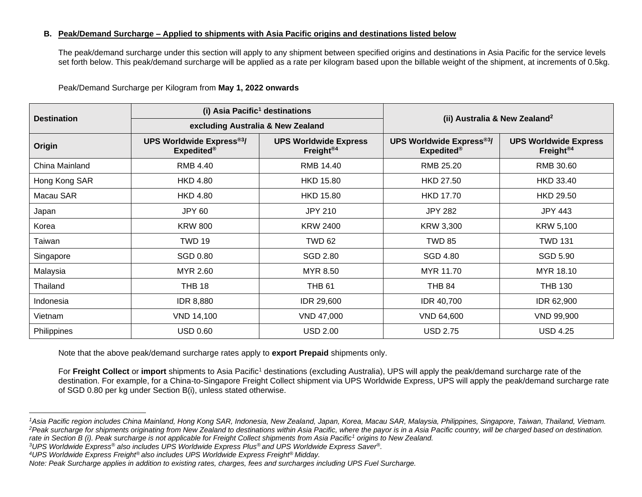#### **B. Peak/Demand Surcharge – Applied to shipments with Asia Pacific origins and destinations listed below**

The peak/demand surcharge under this section will apply to any shipment between specified origins and destinations in Asia Pacific for the service levels set forth below. This peak/demand surcharge will be applied as a rate per kilogram based upon the billable weight of the shipment, at increments of 0.5kg.

|                    | (i) Asia Pacific <sup>1</sup> destinations           |                                                       | (ii) Australia & New Zealand <sup>2</sup>            |                                                       |  |
|--------------------|------------------------------------------------------|-------------------------------------------------------|------------------------------------------------------|-------------------------------------------------------|--|
| <b>Destination</b> | excluding Australia & New Zealand                    |                                                       |                                                      |                                                       |  |
| Origin             | <b>UPS Worldwide Express®3/</b><br><b>Expedited®</b> | <b>UPS Worldwide Express</b><br>Freight <sup>®4</sup> | <b>UPS Worldwide Express®3/</b><br><b>Expedited®</b> | <b>UPS Worldwide Express</b><br>Freight <sup>®4</sup> |  |
| China Mainland     | RMB 4.40                                             | RMB 14.40                                             | RMB 25.20                                            | RMB 30.60                                             |  |
| Hong Kong SAR      | <b>HKD 4.80</b>                                      | <b>HKD 15.80</b>                                      | <b>HKD 27.50</b>                                     | <b>HKD 33.40</b>                                      |  |
| Macau SAR          | <b>HKD 4.80</b>                                      | <b>HKD 15.80</b>                                      | <b>HKD 17.70</b>                                     | <b>HKD 29.50</b>                                      |  |
| Japan              | JPY 60                                               | JPY 210                                               | <b>JPY 282</b>                                       | JPY 443                                               |  |
| Korea              | <b>KRW 800</b>                                       | <b>KRW 2400</b>                                       | KRW 3,300                                            | KRW 5,100                                             |  |
| Taiwan             | <b>TWD 19</b>                                        | <b>TWD 62</b>                                         | <b>TWD 85</b>                                        | <b>TWD 131</b>                                        |  |
| Singapore          | <b>SGD 0.80</b>                                      | SGD 2.80                                              | <b>SGD 4.80</b>                                      | SGD 5.90                                              |  |
| Malaysia           | MYR 2.60                                             | MYR 8.50                                              | MYR 11.70                                            | MYR 18.10                                             |  |
| Thailand           | <b>THB 18</b>                                        | <b>THB 61</b>                                         | <b>THB 84</b>                                        | <b>THB 130</b>                                        |  |
| Indonesia          | <b>IDR 8,880</b>                                     | IDR 29,600                                            | <b>IDR 40,700</b>                                    | IDR 62,900                                            |  |
| Vietnam            | <b>VND 14,100</b>                                    | VND 47,000                                            | VND 64,600                                           | <b>VND 99,900</b>                                     |  |
| Philippines        | <b>USD 0.60</b>                                      | <b>USD 2.00</b>                                       | <b>USD 2.75</b>                                      | <b>USD 4.25</b>                                       |  |

Peak/Demand Surcharge per Kilogram from **May 1, 2022 onwards**

Note that the above peak/demand surcharge rates apply to **export Prepaid** shipments only.

For Freight Collect or import shipments to Asia Pacific<sup>1</sup> destinations (excluding Australia), UPS will apply the peak/demand surcharge rate of the destination. For example, for a China-to-Singapore Freight Collect shipment via UPS Worldwide Express, UPS will apply the peak/demand surcharge rate of SGD 0.80 per kg under Section B(i), unless stated otherwise.

*<sup>1</sup>Asia Pacific region includes China Mainland, Hong Kong SAR, Indonesia, New Zealand, Japan, Korea, Macau SAR, Malaysia, Philippines, Singapore, Taiwan, Thailand, Vietnam. <sup>2</sup>Peak surcharge for shipments originating from New Zealand to destinations within Asia Pacific, where the payor is in a Asia Pacific country, will be charged based on destination. rate in Section B (i). Peak surcharge is not applicable for Freight Collect shipments from Asia Pacific<sup>1</sup> origins to New Zealand.*

*<sup>3</sup>UPS Worldwide Express® also includes UPS Worldwide Express Plus® and UPS Worldwide Express Saver®.*

*<sup>4</sup>UPS Worldwide Express Freight® also includes UPS Worldwide Express Freight® Midday.*

*Note: Peak Surcharge applies in addition to existing rates, charges, fees and surcharges including UPS Fuel Surcharge.*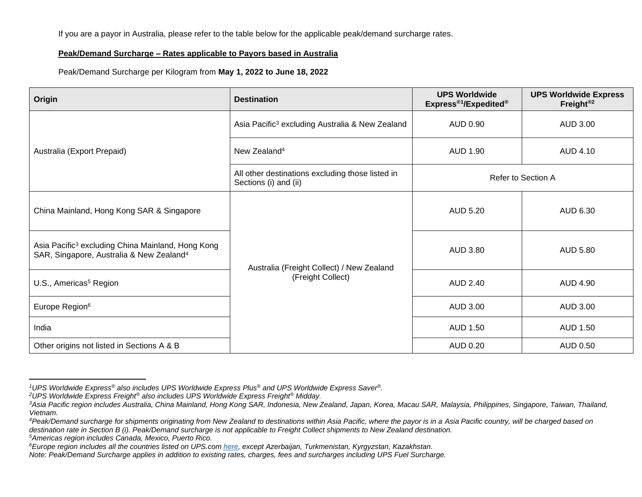If you are a payor in Australia, please refer to the table below for the applicable peak/demand surcharge rates.

#### **Peak/Demand Surcharge – Rates applicable to Payors based in Australia**

Peak/Demand Surcharge per Kilogram from **May 1, 2022 to June 18, 2022**

| <b>Origin</b>                                                                                                         | <b>Destination</b>                                                        | <b>UPS Worldwide</b><br>Express® <sup>1</sup> /Expedited® | <b>UPS Worldwide Express</b><br>Freight <sup>®2</sup> |  |
|-----------------------------------------------------------------------------------------------------------------------|---------------------------------------------------------------------------|-----------------------------------------------------------|-------------------------------------------------------|--|
|                                                                                                                       | Asia Pacific <sup>3</sup> excluding Australia & New Zealand               | AUD 0.90                                                  | AUD 3.00                                              |  |
| Australia (Export Prepaid)                                                                                            | New Zealand <sup>4</sup>                                                  | AUD 1.90                                                  | <b>AUD 4.10</b>                                       |  |
|                                                                                                                       | All other destinations excluding those listed in<br>Sections (i) and (ii) | Refer to Section A                                        |                                                       |  |
| China Mainland, Hong Kong SAR & Singapore                                                                             |                                                                           | AUD 5.20                                                  | AUD 6.30                                              |  |
| Asia Pacific <sup>3</sup> excluding China Mainland, Hong Kong<br>SAR, Singapore, Australia & New Zealand <sup>4</sup> | Australia (Freight Collect) / New Zealand                                 | AUD 3.80                                                  | <b>AUD 5.80</b>                                       |  |
| U.S., Americas <sup>5</sup> Region                                                                                    | (Freight Collect)                                                         | AUD 2.40                                                  | AUD 4.90                                              |  |
| Europe Region <sup>6</sup>                                                                                            |                                                                           | AUD 3.00                                                  | AUD 3.00                                              |  |
| India                                                                                                                 |                                                                           | AUD 1.50                                                  | AUD 1.50                                              |  |
| Other origins not listed in Sections A & B                                                                            |                                                                           | AUD 0.20                                                  | AUD 0.50                                              |  |

*<sup>5</sup>Americas region includes Canada, Mexico, Puerto Rico.*

*<sup>1</sup>UPS Worldwide Express® also includes UPS Worldwide Express Plus® and UPS Worldwide Express Saver®.*

*<sup>2</sup>UPS Worldwide Express Freight® also includes UPS Worldwide Express Freight® Midday.*

*<sup>3</sup>Asia Pacific region includes Australia, China Mainland, Hong Kong SAR, Indonesia, New Zealand, Japan, Korea, Macau SAR, Malaysia, Philippines, Singapore, Taiwan, Thailand, Vietnam.*

*<sup>4</sup>Peak/Demand surcharge for shipments originating from New Zealand to destinations within Asia Pacific, where the payor is in a Asia Pacific country, will be charged based on destination rate in Section B (i). Peak/Demand surcharge is not applicable to Freight Collect shipments to New Zealand destination.*

*<sup>6</sup>Europe region includes all the countries listed on UPS.com [here,](https://www.ups.com/hk/en/global.page?) except Azerbaijan, Turkmenistan, Kyrgyzstan, Kazakhstan.*

*Note: Peak/Demand Surcharge applies in addition to existing rates, charges, fees and surcharges including UPS Fuel Surcharge.*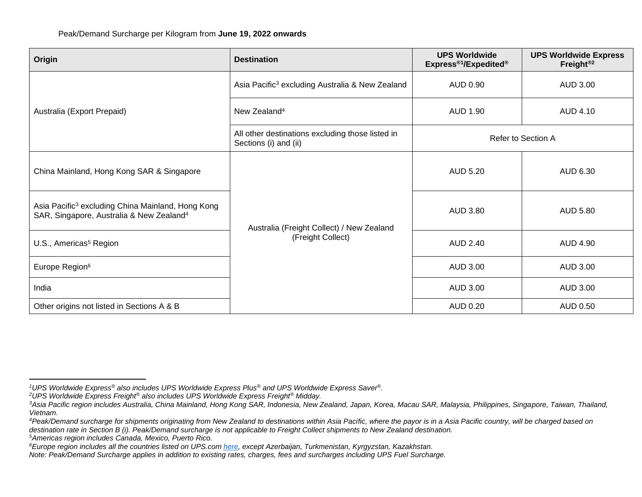| Origin                                                                                                                | <b>Destination</b>                                                        | <b>UPS Worldwide</b><br>Express® <sup>1</sup> /Expedited® | <b>UPS Worldwide Express</b><br>Freight <sup>®2</sup> |  |
|-----------------------------------------------------------------------------------------------------------------------|---------------------------------------------------------------------------|-----------------------------------------------------------|-------------------------------------------------------|--|
|                                                                                                                       | Asia Pacific <sup>3</sup> excluding Australia & New Zealand               | AUD 0.90                                                  | AUD 3.00                                              |  |
| Australia (Export Prepaid)                                                                                            | New Zealand <sup>4</sup>                                                  | AUD 1.90                                                  | AUD 4.10                                              |  |
|                                                                                                                       | All other destinations excluding those listed in<br>Sections (i) and (ii) | Refer to Section A                                        |                                                       |  |
| China Mainland, Hong Kong SAR & Singapore                                                                             |                                                                           | AUD 5.20                                                  | AUD 6.30                                              |  |
| Asia Pacific <sup>3</sup> excluding China Mainland, Hong Kong<br>SAR, Singapore, Australia & New Zealand <sup>4</sup> | Australia (Freight Collect) / New Zealand                                 | AUD 3.80                                                  | <b>AUD 5.80</b>                                       |  |
| U.S., Americas <sup>5</sup> Region                                                                                    | (Freight Collect)                                                         | <b>AUD 2.40</b>                                           | <b>AUD 4.90</b>                                       |  |
| Europe Region <sup>6</sup>                                                                                            |                                                                           | AUD 3.00                                                  | AUD 3.00                                              |  |
| India                                                                                                                 |                                                                           | AUD 3.00                                                  | AUD 3.00                                              |  |
| Other origins not listed in Sections A & B                                                                            |                                                                           |                                                           | AUD 0.50                                              |  |

*<sup>5</sup>Americas region includes Canada, Mexico, Puerto Rico.*

*<sup>1</sup>UPS Worldwide Express® also includes UPS Worldwide Express Plus® and UPS Worldwide Express Saver®.*

*<sup>2</sup>UPS Worldwide Express Freight® also includes UPS Worldwide Express Freight® Midday.*

*<sup>3</sup>Asia Pacific region includes Australia, China Mainland, Hong Kong SAR, Indonesia, New Zealand, Japan, Korea, Macau SAR, Malaysia, Philippines, Singapore, Taiwan, Thailand, Vietnam.*

*<sup>4</sup>Peak/Demand surcharge for shipments originating from New Zealand to destinations within Asia Pacific, where the payor is in a Asia Pacific country, will be charged based on destination rate in Section B (i). Peak/Demand surcharge is not applicable to Freight Collect shipments to New Zealand destination.*

*<sup>6</sup>Europe region includes all the countries listed on UPS.com [here,](https://www.ups.com/hk/en/global.page?) except Azerbaijan, Turkmenistan, Kyrgyzstan, Kazakhstan.*

*Note: Peak/Demand Surcharge applies in addition to existing rates, charges, fees and surcharges including UPS Fuel Surcharge.*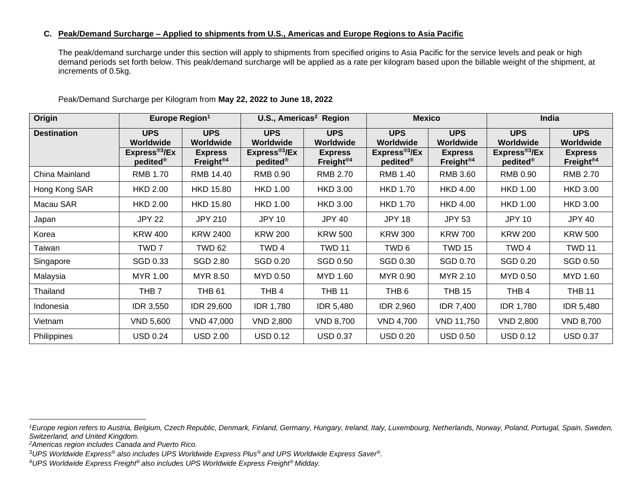#### **C. Peak/Demand Surcharge – Applied to shipments from U.S., Americas and Europe Regions to Asia Pacific**

The peak/demand surcharge under this section will apply to shipments from specified origins to Asia Pacific for the service levels and peak or high demand periods set forth below. This peak/demand surcharge will be applied as a rate per kilogram based upon the billable weight of the shipment, at increments of 0.5kg.

| Origin             | Europe Region <sup>1</sup>                         |                                         | U.S., Americas <sup>2</sup> Region                |                                         | <b>Mexico</b>                                     |                                         | India                                              |                                         |
|--------------------|----------------------------------------------------|-----------------------------------------|---------------------------------------------------|-----------------------------------------|---------------------------------------------------|-----------------------------------------|----------------------------------------------------|-----------------------------------------|
| <b>Destination</b> | <b>UPS</b><br>Worldwide                            | <b>UPS</b><br>Worldwide                 | <b>UPS</b><br>Worldwide                           | <b>UPS</b><br>Worldwide                 | <b>UPS</b><br><b>Worldwide</b>                    | <b>UPS</b><br>Worldwide                 | <b>UPS</b><br>Worldwide                            | <b>UPS</b><br>Worldwide                 |
|                    | Express <sup>®3</sup> /Ex<br>$pedited^{\circledR}$ | <b>Express</b><br>Freight <sup>®4</sup> | Express <sup>®3</sup> /Ex<br>pedited <sup>®</sup> | <b>Express</b><br>Freight <sup>®4</sup> | Express <sup>®3</sup> /Ex<br>pedited <sup>®</sup> | <b>Express</b><br>Freight <sup>®4</sup> | Express <sup>®3</sup> /Ex<br>$pedited^{\circledR}$ | <b>Express</b><br>Freight <sup>®4</sup> |
| China Mainland     | <b>RMB 1.70</b>                                    | RMB 14.40                               | RMB 0.90                                          | <b>RMB 2.70</b>                         | RMB 1.40                                          | RMB 3.60                                | RMB 0.90                                           | <b>RMB 2.70</b>                         |
| Hong Kong SAR      | <b>HKD 2.00</b>                                    | <b>HKD 15.80</b>                        | <b>HKD 1.00</b>                                   | <b>HKD 3.00</b>                         | <b>HKD 1.70</b>                                   | <b>HKD 4.00</b>                         | <b>HKD 1.00</b>                                    | <b>HKD 3.00</b>                         |
| Macau SAR          | <b>HKD 2.00</b>                                    | <b>HKD 15.80</b>                        | <b>HKD 1.00</b>                                   | <b>HKD 3.00</b>                         | <b>HKD 1.70</b>                                   | <b>HKD 4.00</b>                         | <b>HKD 1.00</b>                                    | <b>HKD 3.00</b>                         |
| Japan              | <b>JPY 22</b>                                      | <b>JPY 210</b>                          | <b>JPY 10</b>                                     | <b>JPY 40</b>                           | <b>JPY 18</b>                                     | <b>JPY 53</b>                           | <b>JPY 10</b>                                      | JPY 40                                  |
| Korea              | <b>KRW 400</b>                                     | <b>KRW 2400</b>                         | <b>KRW 200</b>                                    | <b>KRW 500</b>                          | <b>KRW 300</b>                                    | <b>KRW 700</b>                          | <b>KRW 200</b>                                     | <b>KRW 500</b>                          |
| Taiwan             | TWD <sub>7</sub>                                   | <b>TWD 62</b>                           | TWD 4                                             | <b>TWD 11</b>                           | TWD <sub>6</sub>                                  | <b>TWD 15</b>                           | TWD 4                                              | <b>TWD 11</b>                           |
| Singapore          | SGD 0.33                                           | SGD 2.80                                | SGD 0.20                                          | SGD 0.50                                | SGD 0.30                                          | SGD 0.70                                | SGD 0.20                                           | SGD 0.50                                |
| Malaysia           | MYR 1.00                                           | MYR 8.50                                | MYD 0.50                                          | MYD 1.60                                | MYR 0.90                                          | MYR 2.10                                | MYD 0.50                                           | MYD 1.60                                |
| Thailand           | THB 7                                              | <b>THB 61</b>                           | THB <sub>4</sub>                                  | <b>THB 11</b>                           | THB <sub>6</sub>                                  | <b>THB 15</b>                           | THB <sub>4</sub>                                   | <b>THB 11</b>                           |
| Indonesia          | <b>IDR 3,550</b>                                   | <b>IDR 29,600</b>                       | <b>IDR 1,780</b>                                  | <b>IDR 5,480</b>                        | <b>IDR 2,960</b>                                  | <b>IDR 7,400</b>                        | <b>IDR 1,780</b>                                   | <b>IDR 5,480</b>                        |
| Vietnam            | VND 5,600                                          | VND 47,000                              | <b>VND 2,800</b>                                  | <b>VND 8,700</b>                        | <b>VND 4,700</b>                                  | <b>VND 11,750</b>                       | VND 2,800                                          | <b>VND 8,700</b>                        |
| Philippines        | <b>USD 0.24</b>                                    | <b>USD 2.00</b>                         | <b>USD 0.12</b>                                   | <b>USD 0.37</b>                         | <b>USD 0.20</b>                                   | <b>USD 0.50</b>                         | <b>USD 0.12</b>                                    | <b>USD 0.37</b>                         |

Peak/Demand Surcharge per Kilogram from **May 22, 2022 to June 18, 2022**

*<sup>1</sup>Europe region refers to Austria, Belgium, Czech Republic, Denmark, Finland, Germany, Hungary, Ireland, Italy, Luxembourg, Netherlands, Norway, Poland, Portugal, Spain, Sweden, Switzerland, and United Kingdom.* 

*<sup>2</sup>Americas region includes Canada and Puerto Rico.*

<sup>3</sup>*UPS Worldwide Express® also includes UPS Worldwide Express Plus® and UPS Worldwide Express Saver®.*

<sup>4</sup>*UPS Worldwide Express Freight® also includes UPS Worldwide Express Freight® Midday.*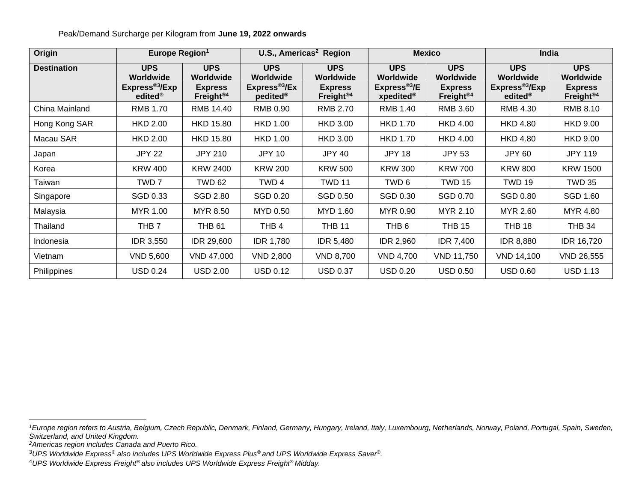**Origin Europe Region<sup>1</sup> U.S., Americas<sup>2</sup> Region Mexico India Destination UPS Worldwide UPS Worldwide UPS Worldwide UPS Worldwide UPS Worldwide UPS Worldwide UPS Worldwide UPS Worldwide Express®3 /Exp edited® Express Freight®4 Express®3 /Ex pedited® Express Freight®4 Express®3 /E xpedited® Express Freight®4 Express®3 /Exp edited® Express Freight®4** China Mainland | RMB 1.70 | RMB 14.40 | RMB 0.90 | RMB 2.70 | RMB 1.40 | RMB 3.60 | RMB 4.30 | RMB 8.10 Hong Kong SAR | HKD 2.00 | HKD 15.80 | HKD 1.00 | HKD 3.00 | HKD 1.70 | HKD 4.00 | HKD 4.80 | HKD 9.00 Macau SAR | HKD 2.00 | HKD 15.80 | HKD 1.00 | HKD 3.00 | HKD 1.70 | HKD 4.00 | HKD 4.80 | HKD 9.00 Japan JPY 22 JPY 210 JPY 10 JPY 40 JPY 18 JPY 53 JPY 60 JPY 119 Korea KRW 400 KRW 2400 KRW 200 KRW 500 KRW 300 KRW 700 KRW 800 KRW 1500 Taiwan | TWD 7 | TWD 62 | TWD 4 | TWD 11 | TWD 6 | TWD 15 | TWD 19 | TWD 35 Singapore SGD 0.33 SGD 2.80 SGD 0.20 SGD 0.50 SGD 0.30 SGD 0.70 SGD 0.80 SGD 1.60 Malaysia | MYR 1.00 | MYR 8.50 | MYD 0.50 | MYD 1.60 | MYR 0.90 | MYR 2.10 | MYR 2.60 | MYR 4.80 Thailand | THB 7 | THB 61 | THB 4 | THB 11 | THB 6 | THB 15 | THB 18 | THB 34 Indonesia IDR 3,550 IDR 29,600 IDR 1,780 IDR 5,480 IDR 2,960 IDR 7,400 IDR 8,880 IDR 16,720 Vietnam VND 5,600 VND 47,000 VND 2,800 VND 8,700 VND 4,700 VND 11,750 VND 14,100 VND 26,555 Philippines USD 0.24 USD 2.00 USD 0.12 USD 0.37 USD 0.20 USD 0.50 USD 0.60 USD 1.13

Peak/Demand Surcharge per Kilogram from **June 19, 2022 onwards**

*<sup>1</sup>Europe region refers to Austria, Belgium, Czech Republic, Denmark, Finland, Germany, Hungary, Ireland, Italy, Luxembourg, Netherlands, Norway, Poland, Portugal, Spain, Sweden, Switzerland, and United Kingdom.* 

*<sup>2</sup>Americas region includes Canada and Puerto Rico.*

<sup>3</sup>*UPS Worldwide Express® also includes UPS Worldwide Express Plus® and UPS Worldwide Express Saver®.*

<sup>4</sup>*UPS Worldwide Express Freight® also includes UPS Worldwide Express Freight® Midday.*